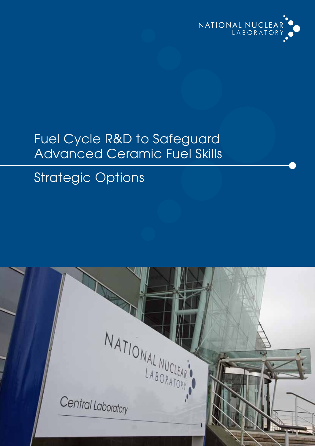

## Fuel Cycle R&D to Safeguard Advanced Ceramic Fuel Skills

## Strategic Options

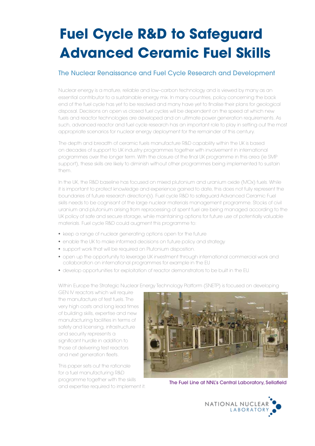# **Fuel Cycle R&D to Safeguard Advanced Ceramic Fuel Skills**

### The Nuclear Renaissance and Fuel Cycle Research and Development

Nuclear energy is a mature, reliable and low–carbon technology and is viewed by many as an essential contributor to a sustainable energy mix. In many countries, policy concerning the back end of the fuel cycle has yet to be resolved and many have yet to finalise their plans for geological disposal. Decisions on open vs closed fuel cycles will be dependent on the speed at which new fuels and reactor technologies are developed and on ultimate power generation requirements. As such, advanced reactor and fuel cycle research has an important role to play in setting out the most appropriate scenarios for nuclear energy deployment for the remainder of this century.

The depth and breadth of ceramic fuels manufacture R&D capability within the UK is based on decades of support to UK industry programmes together with involvement in international programmes over the longer term. With the closure of the final UK programme in this area (ie SMP support), these skills are likely to diminish without other programmes being implemented to sustain them.

In the UK, the R&D baseline has focused on mixed plutonium and uranium oxide (MOx) fuels. While it is important to protect knowledge and experience gained to date, this does not fully represent the boundaries of future research direction(s). Fuel cycle R&D to safeguard Advanced Ceramic Fuel skills needs to be cognisant of the large nuclear materials management programme. Stocks of civil uranium and plutonium arising from reprocessing of spent fuel are being managed according to the UK policy of safe and secure storage, while maintaining options for future use of potentially valuable materials. Fuel cycle R&D could augment this programme to:

- keep a range of nuclear generating options open for the future
- enable the UK to make informed decisions on future policy and strategy
- support work that will be required on Plutonium disposition.
- •  open up the opportunity to leverage UK investment through international commercial work and collaboration on international programmes for example in the EU
- •  develop opportunities for exploitation of reactor demonstrators to be built in the EU.

Within Europe the Strategic Nuclear Energy Technology Platform (SNETP) is focused on developing

GEN IV reactors which will require the manufacture of test fuels. The very high costs and long lead times of building skills, expertise and new manufacturing facilities in terms of safety and licensing, infrastructure and security represents a significant hurdle in addition to those of delivering test reactors and next generation fleets.

This paper sets out the rationale for a fuel manufacturing R&D programme together with the skills and expertise required to implement it.



The Fuel Line at NNL's Central Laboratory, Sellafield

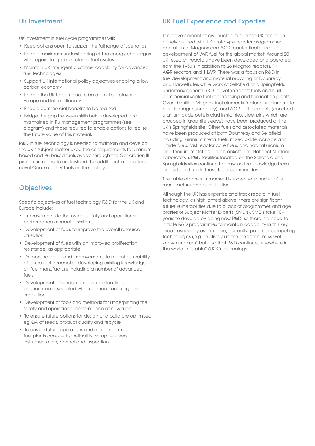UK investment in fuel cycle programmes will:

- Keep options open to support the full range of scenarios
- Enable maximum understanding of the energy challenges with regard to open vs. closed fuel cycles
- Maintain UK intelligent customer capability for advanced fuel technologies
- Support UK international policy objectives enabling a low carbon economy
- Enable the UK to continue to be a credible player in Europe and internationally
- Enable commercial benefits to be realised
- Bridge the gap between skills being developed and maintained in Pu management programmes (see diagram) and those required to enable options to realise the future value of this material.

R&D in fuel technology is needed to maintain and develop the UK's subject matter expertise as requirements for uranium based and Pu based fuels evolve through the Generation III programme and to understand the additional implications of novel Generation IV fuels on the fuel cycle.

### **Objectives**

Specific objectives of fuel technology R&D for the UK and Europe include:

- Improvements to the overall safety and operational performance of reactor systems
- Development of fuels to improve the overall resource utilisation
- Development of fuels with an improved proliferation resistance, as appropriate
- •  Demonstration of and improvements to manufacturability of future fuel concepts – developing existing knowledge on fuel manufacture including a number of advanced fuels.
- •  Development of fundamental understandings of phenomena associated with fuel manufacturing and irradiation
- •  Development of tools and methods for underpinning the safety and operational performance of new fuels
- To ensure future options for design and build are optimised eg QA of feeds, product quality and recycle
- •  To ensure future operations and maintenance of fuel plants considering reliability, scrap recovery, instrumentation, control and inspection.

### UK Investment The UK Fuel Experience and Expertise

The development of civil nuclear fuel in the UK has been closely aligned with UK prototype reactor programmes, operation of Magnox and AGR reactor fleets and development of LWR fuel for the global market. Around 20 UK research reactors have been developed and operated from the 1950's in addition to 26 Magnox reactors, 14 AGR reactors and 1 LWR. There was a focus on R&D in fuel development and material recycling at Dounreay and Harwell sites while work at Sellafield and Springfields undertook general R&D, developed test fuels and built commercial scale fuel reprocessing and fabrication plants. Over 10 million Magnox fuel elements (natural uranium metal clad in magnesium alloy), and AGR fuel elements (enriched uranium oxide pellets clad in stainless steel pins which are grouped in graphite sleeve) have been produced at the UK's Springfields site. Other fuels and associated materials have been produced at both Dounreay and Sellafield including, uranium metal fuels, mixed oxide, carbide and nitride fuels, fast reactor core fuels, and natural uranium and thorium metal breeder blankets. The National Nuclear Laboratory's R&D facilities located on the Sellafield and Springfields sites continue to draw on the knowledge base and skills built up in these local communities.

The table above summarises UK expertise in nuclear fuel manufacture and qualification.

Although the UK has expertise and track record in fuel technology, as highlighted above, there are significant future vulnerabilities due to a lack of programmes and age profiles of Subject Matter Experts (SME's). SME's take 10+ years to develop by doing new R&D, so there is a need to initiate R&D programmes to maintain capability in this key area - especially as there are, currently, potential competing technologies (e.g. relatively unexplored thorium vs wellknown uranium) but also that R&D continues elsewhere in the world in "stable" (UO2) technology.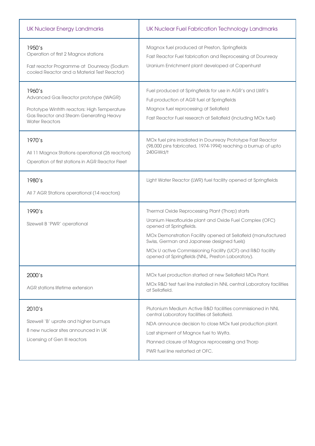| <b>UK Nuclear Energy Landmarks</b>                                                                                                                                  | UK Nuclear Fuel Fabrication Technology Landmarks                                                                                                                                                                                                                                                                                                                        |
|---------------------------------------------------------------------------------------------------------------------------------------------------------------------|-------------------------------------------------------------------------------------------------------------------------------------------------------------------------------------------------------------------------------------------------------------------------------------------------------------------------------------------------------------------------|
| 1950's<br>Operation of first 2 Magnox stations<br>Fast reactor Programme at Dounreay (Sodium<br>cooled Reactor and a Material Test Reactor)                         | Magnox fuel produced at Preston, Springfields<br>Fast Reactor Fuel fabrication and Reprocessing at Dounreay<br>Uranium Enrichment plant developed at Capenhurst                                                                                                                                                                                                         |
| 1960's<br>Advanced Gas Reactor prototype (WAGR)<br>Prototype Winfrith reactors: High Temperature<br>Gas Reactor and Steam Generating Heavy<br><b>Water Reactors</b> | Fuel produced at Springfields for use in AGR's and LWR's<br>Full production of AGR fuel at Springfields<br>Magnox fuel reprocessing at Sellafield<br>Fast Reactor Fuel research at Sellafield (including MOx fuel)                                                                                                                                                      |
| 1970's<br>All 11 Magnox Stations operational (26 reactors)<br>Operation of first stations in AGR Reactor Fleet                                                      | MOx fuel pins irradiated in Dounreay Prototype Fast Reactor<br>(98,000 pins fabricated, 1974-1994) reaching a burnup of upto<br>240GWd/t                                                                                                                                                                                                                                |
| 1980's<br>All 7 AGR Stations operational (14 reactors)                                                                                                              | Light Water Reactor (LWR) fuel facility opened at Springfields                                                                                                                                                                                                                                                                                                          |
| 1990's<br>Sizewell B 'PWR' operational                                                                                                                              | Thermal Oxide Reprocessing Plant (Thorp) starts<br>Uranium Hexaflouride plant and Oxide Fuel Complex (OFC)<br>opened at Springfields.<br>MOx Demonstration Facility opened at Sellafield (manufactured<br>Swiss, German and Japanese designed fuels)<br>MOx U active Commissioning Facility (UCF) and R&D facility<br>opened at Springfields (NNL, Preston Laboratory). |
| 2000's<br>AGR stations lifetime extension                                                                                                                           | MOx fuel production started at new Sellafield MOx Plant.<br>MOx R&D test fuel line installed in NNL central Laboratory facilities<br>at Sellafield.                                                                                                                                                                                                                     |
| 2010's<br>Sizewell 'B' uprate and higher burnups<br>8 new nuclear sites announced in UK<br>Licensing of Gen III reactors                                            | Plutonium Medium Active R&D facilities commissioned in NNL<br>central Laboratory facilities at Sellafield.<br>NDA announce decision to close MOx fuel production plant.<br>Last shipment of Magnox fuel to Wylfa.<br>Planned closure of Magnox reprocessing and Thorp<br>PWR fuel line restarted at OFC.                                                                |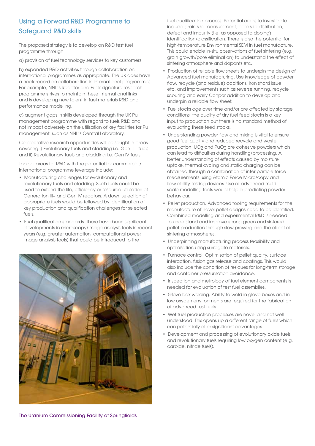### Using a Forward R&D Programme to Safeguard R&D skills

The proposed strategy is to develop an R&D test fuel programme through

a) provision of fuel technology services to key customers

b) expanded R&D activities through collaboration on international programmes as appropriate. The UK does have a track record on collaboration in international programmes. For example, NNL's Reactor and Fuels signature research programme strives to maintain these international links and is developing new talent in fuel materials R&D and performance modelling.

c) augment gaps in skills developed through the UK Pu management programme with regard to fuels R&D and not impact adversely on the utilisation of key facilities for Pu management, such as NNL's Central Laboratory.

Collaborative research opportunities will be sought in areas covering i) Evolutionary fuels and cladding i.e. Gen III+ fuels and ii) Revolutionary fuels and cladding i.e. Gen IV fuels.

Topical areas for R&D with the potential for commercial/ international programme leverage include:

- Manufacturing challenges for evolutionary and revolutionary fuels and cladding. Such fuels could be used to extend the life, efficiency or resource utilisation of Generation III+ and Gen IV reactors. A down selection of appropriate fuels would be followed by identification of key production and qualification challenges for selected fuels.
- Fuel qualification standards. There have been significant developments in microscopy/image analysis tools in recent years (e.g. greater automation, computational power, image analysis tools) that could be introduced to the



fuel qualification process. Potential areas to investigate include grain size measurement, pore size distribution, defect and impurity (i.e. as opposed to doping) identification/classification. There is also the potential for high-temperature Environmental SEM in fuel manufacture. This could enable in-situ observations of fuel sintering (e.g. grain growth/pore elimination) to understand the effect of sintering atmosphere and dopants etc.

- Production of reliable flow sheets to underpin the design of Advanced fuel manufacturing. Use knowledge of powder flow, recycle (and residue) additions, iron shard issue etc. and improvements such as reverse running, recycle scouring and early Conpor addition to develop and underpin a reliable flow sheet.
- Fuel stocks age over time and/or are affected by storage conditions, the quality of dry fuel feed stocks is a key input to production but there is no standard method of evaluating these feed stocks.
- Understanding powder flow and mixing is vital to ensure good fuel quality and reduced recycle and waste production. UO<sub>2</sub> and PuO<sub>2</sub> are cohesive powders which can lead to difficulties during handling/processing. A better understanding of effects caused by moisture uptake, thermal cycling and static charging can be obtained through a combination of inter particle force measurements using Atomic Force Microscopy and flow ability testing devices. Use of advanced multiscale modelling tools would help in predicting powder behaviour.
- Pellet production. Advanced tooling requirements for the manufacture of novel pellet designs need to be identified. Combined modelling and experimental R&D is needed to understand and improve strong green and sintered pellet production through slow pressing and the effect of sintering atmospheres.
- •  Underpinning manufacturing process feasibility and optimisation using surrogate materials.
- Furnace control. Optimisation of pellet quality, surface interaction, fission gas release and coatings. This would also include the condition of residues for long-term storage and container pressurisation avoidance.
- Inspection and metrology of fuel element components is needed for evaluation of test fuel assemblies.
- Glove box welding. Ability to weld in glove boxes and in low oxygen environments are required for the fabrication of advanced test fuels.
- Wet fuel production processes are novel and not well understood. This opens up a different range of fuels which can potentially offer significant advantages.
- •  Development and processing of evolutionary oxide fuels and revolutionary fuels requiring low oxygen content (e.g. carbide, nitride fuels).

The Uranium Commissioning Facility at Springfields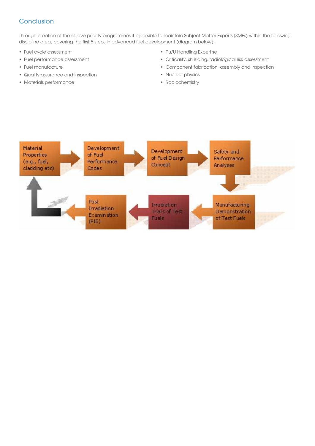### **Conclusion**

Through creation of the above priority programmes it is possible to maintain Subject Matter Experts (SMEs) within the following discipline areas covering the first 5 steps in advanced fuel development (diagram below):

- Fuel cycle assessment
- •  Fuel performance assessment
- •  Fuel manufacture
- •  Quality assurance and inspection
- •  Materials performance
- Pu/U Handling Expertise
- Criticality, shielding, radiological risk assessment
- Component fabrication, assembly and inspection
- Nuclear physics
- •  Radiochemistry